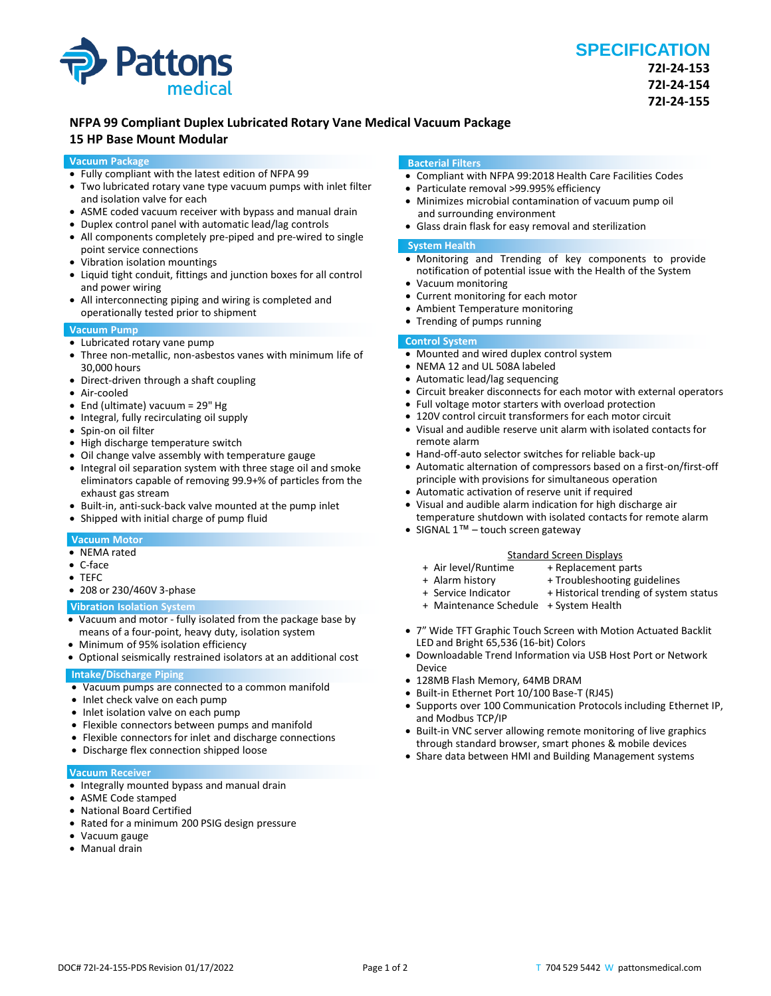

# **NFPA 99 Compliant Duplex Lubricated Rotary Vane Medical Vacuum Package**

# **15 HP Base Mount Modular**

#### **Vacuum Package**

- Fully compliant with the latest edition of NFPA 99
- Two lubricated rotary vane type vacuum pumps with inlet filter and isolation valve for each
- ASME coded vacuum receiver with bypass and manual drain
- Duplex control panel with automatic lead/lag controls
- All components completely pre-piped and pre-wired to single point service connections
- Vibration isolation mountings
- Liquid tight conduit, fittings and junction boxes for all control and power wiring
- All interconnecting piping and wiring is completed and operationally tested prior to shipment

### **Vacuum Pump**

- Lubricated rotary vane pump
- Three non-metallic, non-asbestos vanes with minimum life of 30,000 hours
- Direct-driven through a shaft coupling
- Air-cooled
- End (ultimate) vacuum = 29" Hg
- Integral, fully recirculating oil supply
- Spin-on oil filter
- High discharge temperature switch
- Oil change valve assembly with temperature gauge
- Integral oil separation system with three stage oil and smoke eliminators capable of removing 99.9+% of particles from the exhaust gas stream
- Built-in, anti-suck-back valve mounted at the pump inlet
- Shipped with initial charge of pump fluid

#### **Vacuum Motor**

- NEMA rated
- C-face
- TEFC
- 208 or 230/460V 3-phase

#### **Vibration Isolation System**

- Vacuum and motor fully isolated from the package base by means of a four-point, heavy duty, isolation system
- Minimum of 95% isolation efficiency
- Optional seismically restrained isolators at an additional cost

### **Intake/Discharge Piping**

- Vacuum pumps are connected to a common manifold
- Inlet check valve on each pump
- Inlet isolation valve on each pump
- Flexible connectors between pumps and manifold
- Flexible connectors for inlet and discharge connections
- Discharge flex connection shipped loose

#### **Vacuum Receiver**

- Integrally mounted bypass and manual drain
- ASME Code stamped
- National Board Certified
- Rated for a minimum 200 PSIG design pressure
- Vacuum gauge
- Manual drain

#### **Bacterial Filters**

- Compliant with NFPA 99:2018 Health Care Facilities Codes
- Particulate removal >99.995% efficiency
- Minimizes microbial contamination of vacuum pump oil and surrounding environment
- Glass drain flask for easy removal and sterilization

### **System Health**

- Monitoring and Trending of key components to provide notification of potential issue with the Health of the System
- Vacuum monitoring
- Current monitoring for each motor
- Ambient Temperature monitoring
- Trending of pumps running

# **Control System**

- Mounted and wired duplex control system
- NEMA 12 and UL 508A labeled
- Automatic lead/lag sequencing
- Circuit breaker disconnects for each motor with external operators
- Full voltage motor starters with overload protection
- 120V control circuit transformers for each motor circuit
- Visual and audible reserve unit alarm with isolated contacts for remote alarm
- Hand-off-auto selector switches for reliable back-up
- Automatic alternation of compressors based on a first-on/first-off principle with provisions for simultaneous operation
- Automatic activation of reserve unit if required
- Visual and audible alarm indication for high discharge air temperature shutdown with isolated contacts for remote alarm
- SIGNAL 1<sup>™</sup> touch screen gateway

#### Standard Screen Displays<br>Air level/Runtime + Replacement p + Replacement parts

- -
- + Alarm history + Troubleshooting guidelines<br>+ Service Indicator + Historical trending of syster + Historical trending of system status
- 
- + Maintenance Schedule + System Health
- 7" Wide TFT Graphic Touch Screen with Motion Actuated Backlit LED and Bright 65,536 (16-bit) Colors
- Downloadable Trend Information via USB Host Port or Network Device
- 128MB Flash Memory, 64MB DRAM
- Built-in Ethernet Port 10/100 Base-T (RJ45)
- Supports over 100 Communication Protocols including Ethernet IP, and Modbus TCP/IP
- Built-in VNC server allowing remote monitoring of live graphics through standard browser, smart phones & mobile devices
- Share data between HMI and Building Management systems